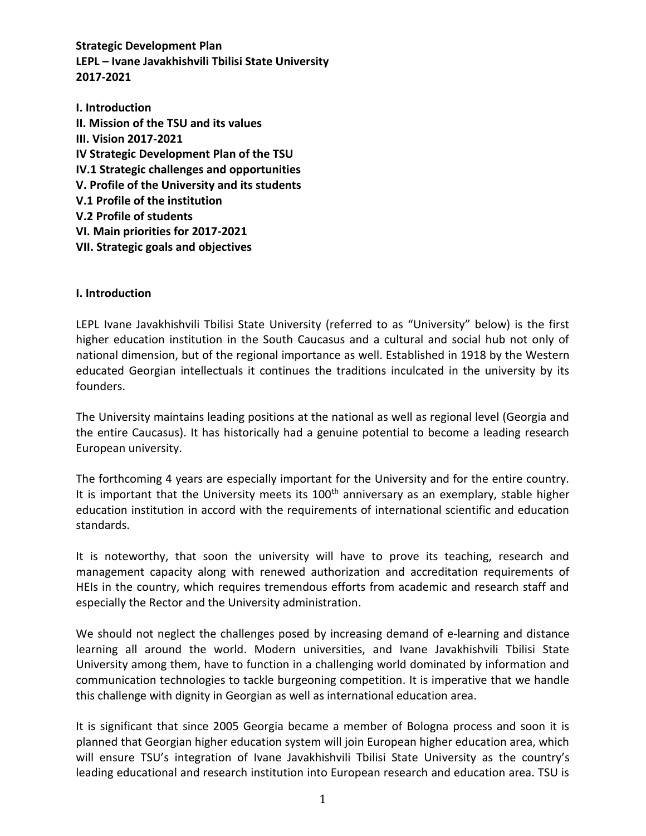**Strategic Development Plan LEPL – Ivane Javakhishvili Tbilisi State University 2017-2021** 

**I. Introduction II. Mission of the TSU and its values III. Vision 2017-2021 IV Strategic Development Plan of the TSU IV.1 Strategic challenges and opportunities V. Profile of the University and its students V.1 Profile of the institution V.2 Profile of students VI. Main priorities for 2017-2021 VII. Strategic goals and objectives**

#### **I. Introduction**

LEPL Ivane Javakhishvili Tbilisi State University (referred to as "University" below) is the first higher education institution in the South Caucasus and a cultural and social hub not only of national dimension, but of the regional importance as well. Established in 1918 by the Western educated Georgian intellectuals it continues the traditions inculcated in the university by its founders.

The University maintains leading positions at the national as well as regional level (Georgia and the entire Caucasus). It has historically had a genuine potential to become a leading research European university.

The forthcoming 4 years are especially important for the University and for the entire country. It is important that the University meets its  $100<sup>th</sup>$  anniversary as an exemplary, stable higher education institution in accord with the requirements of international scientific and education standards.

It is noteworthy, that soon the university will have to prove its teaching, research and management capacity along with renewed authorization and accreditation requirements of HEIs in the country, which requires tremendous efforts from academic and research staff and especially the Rector and the University administration.

We should not neglect the challenges posed by increasing demand of e-learning and distance learning all around the world. Modern universities, and Ivane Javakhishvili Tbilisi State University among them, have to function in a challenging world dominated by information and communication technologies to tackle burgeoning competition. It is imperative that we handle this challenge with dignity in Georgian as well as international education area.

It is significant that since 2005 Georgia became a member of Bologna process and soon it is planned that Georgian higher education system will join European higher education area, which will ensure TSU's integration of Ivane Javakhishvili Tbilisi State University as the country's leading educational and research institution into European research and education area. TSU is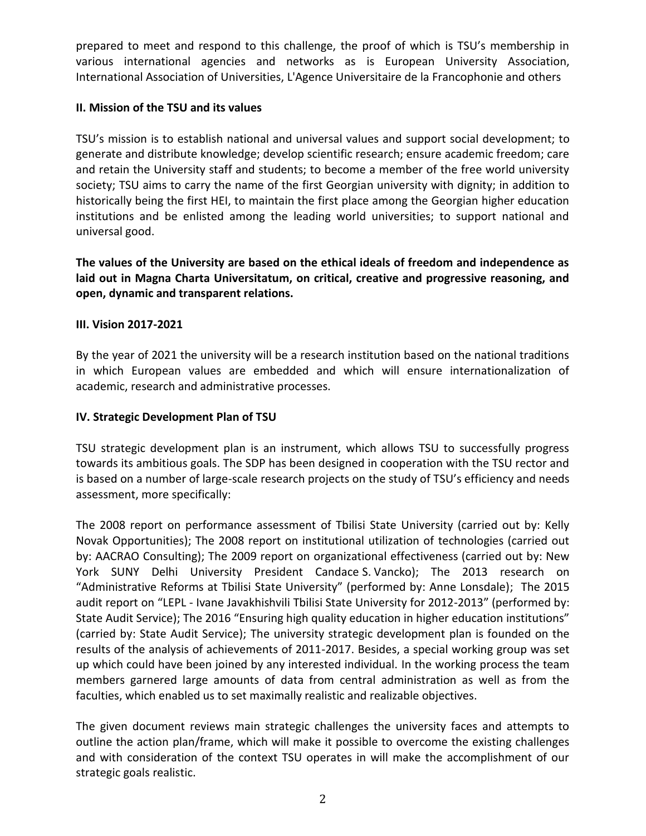prepared to meet and respond to this challenge, the proof of which is TSU's membership in various international agencies and networks as is European University Association, International Association of Universities, L'Agence Universitaire de la Francophonie and others

## **II. Mission of the TSU and its values**

TSU's mission is to establish national and universal values and support social development; to generate and distribute knowledge; develop scientific research; ensure academic freedom; care and retain the University staff and students; to become a member of the free world university society; TSU aims to carry the name of the first Georgian university with dignity; in addition to historically being the first HEI, to maintain the first place among the Georgian higher education institutions and be enlisted among the leading world universities; to support national and universal good.

**The values of the University are based on the ethical ideals of freedom and independence as laid out in Magna Charta Universitatum, on critical, creative and progressive reasoning, and open, dynamic and transparent relations.** 

## **III. Vision 2017-2021**

By the year of 2021 the university will be a research institution based on the national traditions in which European values are embedded and which will ensure internationalization of academic, research and administrative processes.

## **IV. Strategic Development Plan of TSU**

TSU strategic development plan is an instrument, which allows TSU to successfully progress towards its ambitious goals. The SDP has been designed in cooperation with the TSU rector and is based on a number of large-scale research projects on the study of TSU's efficiency and needs assessment, more specifically:

The 2008 report on performance assessment of Tbilisi State University (carried out by: Kelly Novak Opportunities); The 2008 report on institutional utilization of technologies (carried out by: AACRAO Consulting); The 2009 report on organizational effectiveness (carried out by: New York SUNY Delhi University President Candace S. Vancko); The 2013 research on "Administrative Reforms at Tbilisi State University" (performed by: Anne Lonsdale); The 2015 audit report on "LEPL - Ivane Javakhishvili Tbilisi State University for 2012-2013" (performed by: State Audit Service); The 2016 "Ensuring high quality education in higher education institutions" (carried by: State Audit Service); The university strategic development plan is founded on the results of the analysis of achievements of 2011-2017. Besides, a special working group was set up which could have been joined by any interested individual. In the working process the team members garnered large amounts of data from central administration as well as from the faculties, which enabled us to set maximally realistic and realizable objectives.

The given document reviews main strategic challenges the university faces and attempts to outline the action plan/frame, which will make it possible to overcome the existing challenges and with consideration of the context TSU operates in will make the accomplishment of our strategic goals realistic.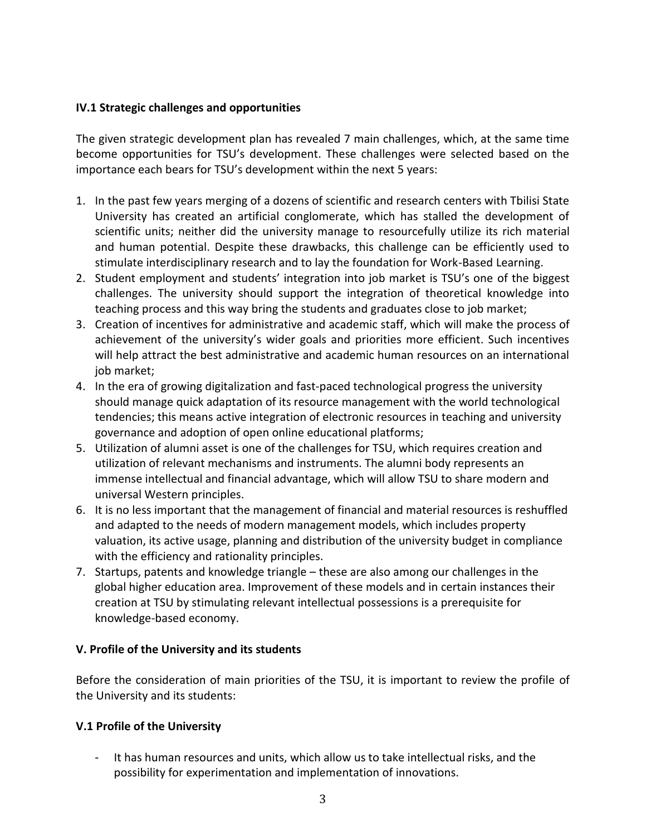## **IV.1 Strategic challenges and opportunities**

The given strategic development plan has revealed 7 main challenges, which, at the same time become opportunities for TSU's development. These challenges were selected based on the importance each bears for TSU's development within the next 5 years:

- 1. In the past few years merging of a dozens of scientific and research centers with Tbilisi State University has created an artificial conglomerate, which has stalled the development of scientific units; neither did the university manage to resourcefully utilize its rich material and human potential. Despite these drawbacks, this challenge can be efficiently used to stimulate interdisciplinary research and to lay the foundation for Work-Based Learning.
- 2. Student employment and students' integration into job market is TSU's one of the biggest challenges. The university should support the integration of theoretical knowledge into teaching process and this way bring the students and graduates close to job market;
- 3. Creation of incentives for administrative and academic staff, which will make the process of achievement of the university's wider goals and priorities more efficient. Such incentives will help attract the best administrative and academic human resources on an international job market;
- 4. In the era of growing digitalization and fast-paced technological progress the university should manage quick adaptation of its resource management with the world technological tendencies; this means active integration of electronic resources in teaching and university governance and adoption of open online educational platforms;
- 5. Utilization of alumni asset is one of the challenges for TSU, which requires creation and utilization of relevant mechanisms and instruments. The alumni body represents an immense intellectual and financial advantage, which will allow TSU to share modern and universal Western principles.
- 6. It is no less important that the management of financial and material resources is reshuffled and adapted to the needs of modern management models, which includes property valuation, its active usage, planning and distribution of the university budget in compliance with the efficiency and rationality principles.
- 7. Startups, patents and knowledge triangle these are also among our challenges in the global higher education area. Improvement of these models and in certain instances their creation at TSU by stimulating relevant intellectual possessions is a prerequisite for knowledge-based economy.

## **V. Profile of the University and its students**

Before the consideration of main priorities of the TSU, it is important to review the profile of the University and its students:

## **V.1 Profile of the University**

It has human resources and units, which allow us to take intellectual risks, and the possibility for experimentation and implementation of innovations.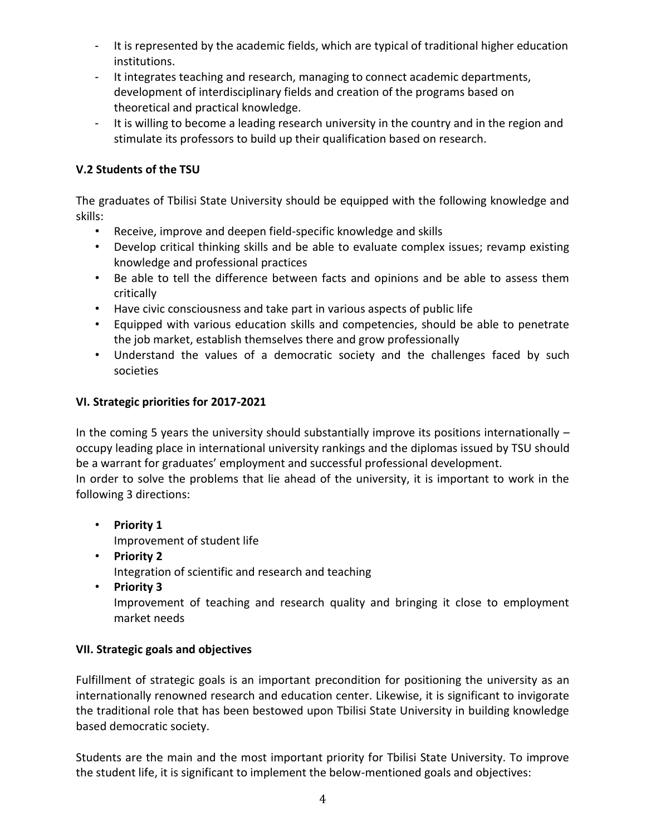- It is represented by the academic fields, which are typical of traditional higher education institutions.
- It integrates teaching and research, managing to connect academic departments, development of interdisciplinary fields and creation of the programs based on theoretical and practical knowledge.
- It is willing to become a leading research university in the country and in the region and stimulate its professors to build up their qualification based on research.

## **V.2 Students of the TSU**

The graduates of Tbilisi State University should be equipped with the following knowledge and skills:

- Receive, improve and deepen field-specific knowledge and skills
- Develop critical thinking skills and be able to evaluate complex issues; revamp existing knowledge and professional practices
- Be able to tell the difference between facts and opinions and be able to assess them critically
- Have civic consciousness and take part in various aspects of public life
- Equipped with various education skills and competencies, should be able to penetrate the job market, establish themselves there and grow professionally
- Understand the values of a democratic society and the challenges faced by such societies

## **VI. Strategic priorities for 2017-2021**

In the coming 5 years the university should substantially improve its positions internationally – occupy leading place in international university rankings and the diplomas issued by TSU should be a warrant for graduates' employment and successful professional development. In order to solve the problems that lie ahead of the university, it is important to work in the following 3 directions:

- **Priority 1** Improvement of student life
- **Priority 2** Integration of scientific and research and teaching
- **Priority 3**  Improvement of teaching and research quality and bringing it close to employment market needs

## **VII. Strategic goals and objectives**

Fulfillment of strategic goals is an important precondition for positioning the university as an internationally renowned research and education center. Likewise, it is significant to invigorate the traditional role that has been bestowed upon Tbilisi State University in building knowledge based democratic society.

Students are the main and the most important priority for Tbilisi State University. To improve the student life, it is significant to implement the below-mentioned goals and objectives: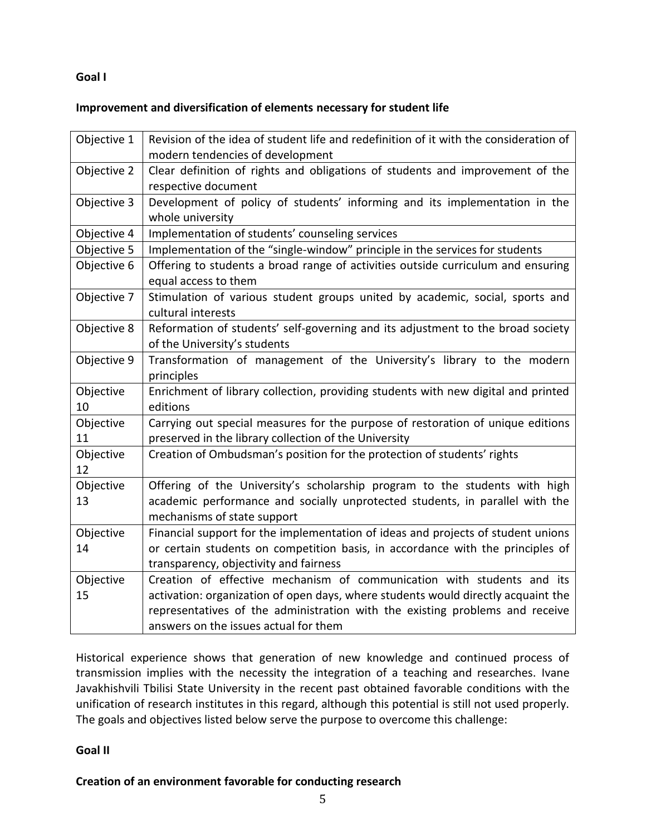#### **Goal I**

#### **Improvement and diversification of elements necessary for student life**

| Objective 1 | Revision of the idea of student life and redefinition of it with the consideration of |
|-------------|---------------------------------------------------------------------------------------|
|             | modern tendencies of development                                                      |
| Objective 2 | Clear definition of rights and obligations of students and improvement of the         |
|             | respective document                                                                   |
| Objective 3 | Development of policy of students' informing and its implementation in the            |
|             | whole university                                                                      |
| Objective 4 | Implementation of students' counseling services                                       |
| Objective 5 | Implementation of the "single-window" principle in the services for students          |
| Objective 6 | Offering to students a broad range of activities outside curriculum and ensuring      |
|             | equal access to them                                                                  |
| Objective 7 | Stimulation of various student groups united by academic, social, sports and          |
|             | cultural interests                                                                    |
| Objective 8 | Reformation of students' self-governing and its adjustment to the broad society       |
|             | of the University's students                                                          |
| Objective 9 | Transformation of management of the University's library to the modern                |
|             | principles                                                                            |
| Objective   | Enrichment of library collection, providing students with new digital and printed     |
| 10          | editions                                                                              |
| Objective   | Carrying out special measures for the purpose of restoration of unique editions       |
| 11          | preserved in the library collection of the University                                 |
| Objective   | Creation of Ombudsman's position for the protection of students' rights               |
| 12          |                                                                                       |
| Objective   | Offering of the University's scholarship program to the students with high            |
| 13          | academic performance and socially unprotected students, in parallel with the          |
|             | mechanisms of state support                                                           |
| Objective   | Financial support for the implementation of ideas and projects of student unions      |
| 14          | or certain students on competition basis, in accordance with the principles of        |
|             | transparency, objectivity and fairness                                                |
| Objective   | Creation of effective mechanism of communication with students and its                |
| 15          | activation: organization of open days, where students would directly acquaint the     |
|             | representatives of the administration with the existing problems and receive          |
|             | answers on the issues actual for them                                                 |

Historical experience shows that generation of new knowledge and continued process of transmission implies with the necessity the integration of a teaching and researches. Ivane Javakhishvili Tbilisi State University in the recent past obtained favorable conditions with the unification of research institutes in this regard, although this potential is still not used properly. The goals and objectives listed below serve the purpose to overcome this challenge:

#### **Goal II**

#### **Creation of an environment favorable for conducting research**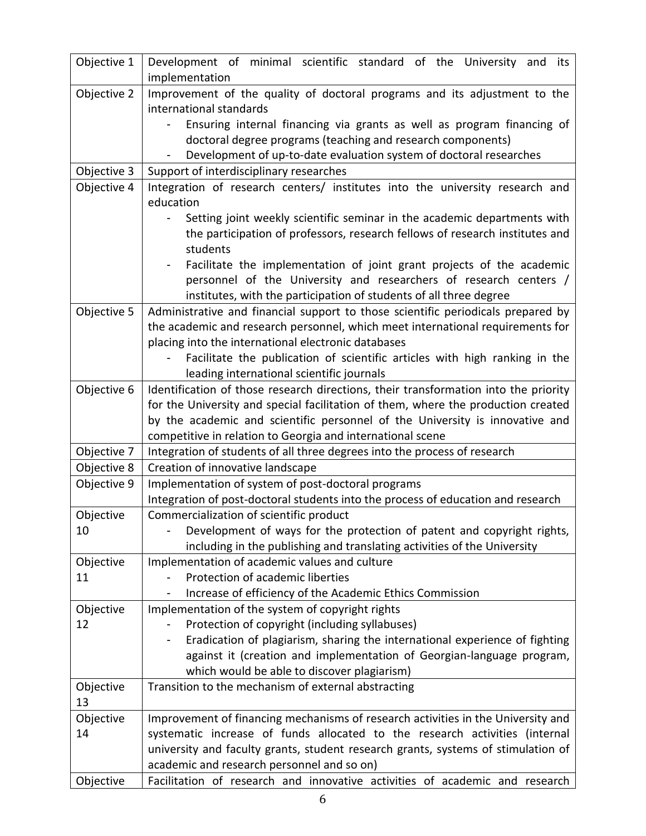| Objective 1     | Development of minimal scientific standard of the University and<br>its<br>implementation                                 |
|-----------------|---------------------------------------------------------------------------------------------------------------------------|
| Objective 2     | Improvement of the quality of doctoral programs and its adjustment to the                                                 |
|                 | international standards                                                                                                   |
|                 | Ensuring internal financing via grants as well as program financing of                                                    |
|                 | doctoral degree programs (teaching and research components)                                                               |
|                 | Development of up-to-date evaluation system of doctoral researches                                                        |
| Objective 3     | Support of interdisciplinary researches                                                                                   |
| Objective 4     | Integration of research centers/ institutes into the university research and<br>education                                 |
|                 | Setting joint weekly scientific seminar in the academic departments with                                                  |
|                 | the participation of professors, research fellows of research institutes and                                              |
|                 | students                                                                                                                  |
|                 | Facilitate the implementation of joint grant projects of the academic                                                     |
|                 | personnel of the University and researchers of research centers /                                                         |
|                 | institutes, with the participation of students of all three degree                                                        |
| Objective 5     | Administrative and financial support to those scientific periodicals prepared by                                          |
|                 | the academic and research personnel, which meet international requirements for                                            |
|                 | placing into the international electronic databases                                                                       |
|                 | Facilitate the publication of scientific articles with high ranking in the                                                |
|                 | leading international scientific journals                                                                                 |
| Objective 6     | Identification of those research directions, their transformation into the priority                                       |
|                 | for the University and special facilitation of them, where the production created                                         |
|                 | by the academic and scientific personnel of the University is innovative and                                              |
|                 | competitive in relation to Georgia and international scene                                                                |
| Objective 7     | Integration of students of all three degrees into the process of research                                                 |
| Objective 8     | Creation of innovative landscape                                                                                          |
| Objective 9     | Implementation of system of post-doctoral programs                                                                        |
|                 | Integration of post-doctoral students into the process of education and research                                          |
| Objective       | Commercialization of scientific product                                                                                   |
| 10              | Development of ways for the protection of patent and copyright rights,                                                    |
|                 | including in the publishing and translating activities of the University<br>Implementation of academic values and culture |
| Objective<br>11 | Protection of academic liberties                                                                                          |
|                 | Increase of efficiency of the Academic Ethics Commission                                                                  |
| Objective       | Implementation of the system of copyright rights                                                                          |
| 12              | Protection of copyright (including syllabuses)                                                                            |
|                 | Eradication of plagiarism, sharing the international experience of fighting                                               |
|                 | against it (creation and implementation of Georgian-language program,                                                     |
|                 | which would be able to discover plagiarism)                                                                               |
| Objective       | Transition to the mechanism of external abstracting                                                                       |
| 13              |                                                                                                                           |
| Objective       | Improvement of financing mechanisms of research activities in the University and                                          |
| 14              | systematic increase of funds allocated to the research activities (internal                                               |
|                 | university and faculty grants, student research grants, systems of stimulation of                                         |
|                 | academic and research personnel and so on)                                                                                |
| Objective       | Facilitation of research and innovative activities of academic and research                                               |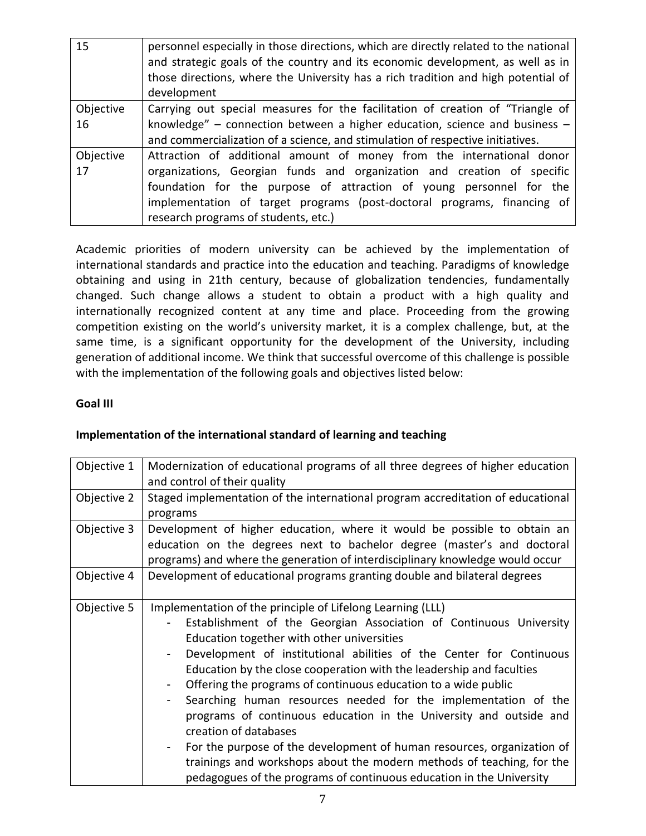| 15        | personnel especially in those directions, which are directly related to the national<br>and strategic goals of the country and its economic development, as well as in<br>those directions, where the University has a rich tradition and high potential of<br>development |
|-----------|----------------------------------------------------------------------------------------------------------------------------------------------------------------------------------------------------------------------------------------------------------------------------|
| Objective | Carrying out special measures for the facilitation of creation of "Triangle of                                                                                                                                                                                             |
| 16        | knowledge" – connection between a higher education, science and business –                                                                                                                                                                                                 |
|           | and commercialization of a science, and stimulation of respective initiatives.                                                                                                                                                                                             |
| Objective | Attraction of additional amount of money from the international donor                                                                                                                                                                                                      |
| 17        | organizations, Georgian funds and organization and creation of specific                                                                                                                                                                                                    |
|           | foundation for the purpose of attraction of young personnel for the                                                                                                                                                                                                        |
|           | implementation of target programs (post-doctoral programs, financing of                                                                                                                                                                                                    |
|           | research programs of students, etc.)                                                                                                                                                                                                                                       |

Academic priorities of modern university can be achieved by the implementation of international standards and practice into the education and teaching. Paradigms of knowledge obtaining and using in 21th century, because of globalization tendencies, fundamentally changed. Such change allows a student to obtain a product with a high quality and internationally recognized content at any time and place. Proceeding from the growing competition existing on the world's university market, it is a complex challenge, but, at the same time, is a significant opportunity for the development of the University, including generation of additional income. We think that successful overcome of this challenge is possible with the implementation of the following goals and objectives listed below:

#### **Goal III**

## **Implementation of the international standard of learning and teaching**

| Objective 1 | Modernization of educational programs of all three degrees of higher education<br>and control of their quality                                                                                                                                                                                                                                                                                                                                                                                                                                                                                                                                                                                                                                                                                                                        |
|-------------|---------------------------------------------------------------------------------------------------------------------------------------------------------------------------------------------------------------------------------------------------------------------------------------------------------------------------------------------------------------------------------------------------------------------------------------------------------------------------------------------------------------------------------------------------------------------------------------------------------------------------------------------------------------------------------------------------------------------------------------------------------------------------------------------------------------------------------------|
| Objective 2 | Staged implementation of the international program accreditation of educational<br>programs                                                                                                                                                                                                                                                                                                                                                                                                                                                                                                                                                                                                                                                                                                                                           |
| Objective 3 | Development of higher education, where it would be possible to obtain an<br>education on the degrees next to bachelor degree (master's and doctoral<br>programs) and where the generation of interdisciplinary knowledge would occur                                                                                                                                                                                                                                                                                                                                                                                                                                                                                                                                                                                                  |
| Objective 4 | Development of educational programs granting double and bilateral degrees                                                                                                                                                                                                                                                                                                                                                                                                                                                                                                                                                                                                                                                                                                                                                             |
| Objective 5 | Implementation of the principle of Lifelong Learning (LLL)<br>Establishment of the Georgian Association of Continuous University<br>Education together with other universities<br>Development of institutional abilities of the Center for Continuous<br>Education by the close cooperation with the leadership and faculties<br>Offering the programs of continuous education to a wide public<br>-<br>Searching human resources needed for the implementation of the<br>-<br>programs of continuous education in the University and outside and<br>creation of databases<br>For the purpose of the development of human resources, organization of<br>$\qquad \qquad \blacksquare$<br>trainings and workshops about the modern methods of teaching, for the<br>pedagogues of the programs of continuous education in the University |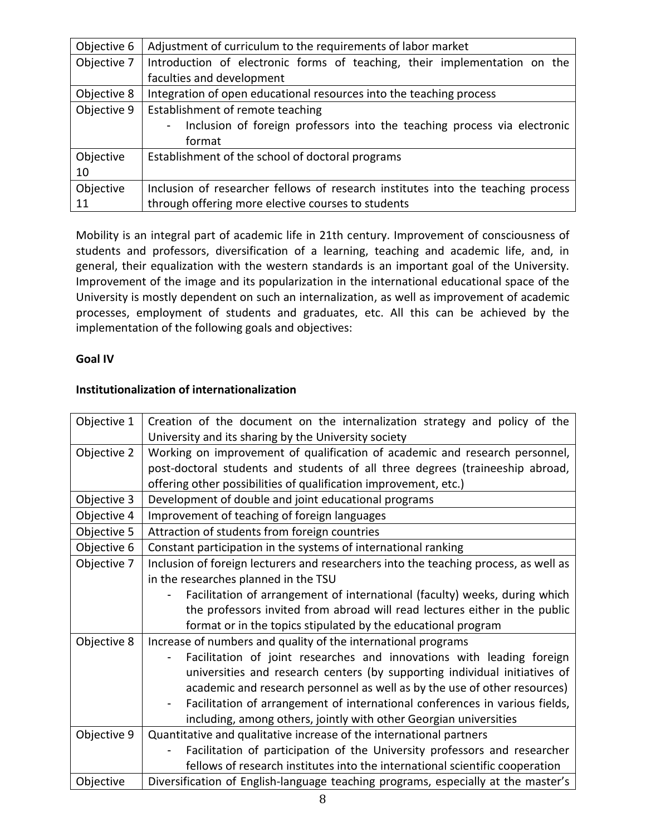| Objective 6 | Adjustment of curriculum to the requirements of labor market                          |
|-------------|---------------------------------------------------------------------------------------|
| Objective 7 | Introduction of electronic forms of teaching, their implementation on the             |
|             | faculties and development                                                             |
| Objective 8 | Integration of open educational resources into the teaching process                   |
| Objective 9 | Establishment of remote teaching                                                      |
|             | Inclusion of foreign professors into the teaching process via electronic<br>$\sim 10$ |
|             | format                                                                                |
| Objective   | Establishment of the school of doctoral programs                                      |
| 10          |                                                                                       |
| Objective   | Inclusion of researcher fellows of research institutes into the teaching process      |
| 11          | through offering more elective courses to students                                    |

Mobility is an integral part of academic life in 21th century. Improvement of consciousness of students and professors, diversification of a learning, teaching and academic life, and, in general, their equalization with the western standards is an important goal of the University. Improvement of the image and its popularization in the international educational space of the University is mostly dependent on such an internalization, as well as improvement of academic processes, employment of students and graduates, etc. All this can be achieved by the implementation of the following goals and objectives:

#### **Goal IV**

## **Institutionalization of internationalization**

| Objective 1 | Creation of the document on the internalization strategy and policy of the                              |
|-------------|---------------------------------------------------------------------------------------------------------|
|             | University and its sharing by the University society                                                    |
| Objective 2 | Working on improvement of qualification of academic and research personnel,                             |
|             | post-doctoral students and students of all three degrees (traineeship abroad,                           |
|             | offering other possibilities of qualification improvement, etc.)                                        |
| Objective 3 | Development of double and joint educational programs                                                    |
| Objective 4 | Improvement of teaching of foreign languages                                                            |
| Objective 5 | Attraction of students from foreign countries                                                           |
| Objective 6 | Constant participation in the systems of international ranking                                          |
| Objective 7 | Inclusion of foreign lecturers and researchers into the teaching process, as well as                    |
|             | in the researches planned in the TSU                                                                    |
|             | Facilitation of arrangement of international (faculty) weeks, during which                              |
|             | the professors invited from abroad will read lectures either in the public                              |
|             | format or in the topics stipulated by the educational program                                           |
| Objective 8 | Increase of numbers and quality of the international programs                                           |
|             | Facilitation of joint researches and innovations with leading foreign                                   |
|             | universities and research centers (by supporting individual initiatives of                              |
|             | academic and research personnel as well as by the use of other resources)                               |
|             | Facilitation of arrangement of international conferences in various fields,<br>$\overline{\phantom{a}}$ |
|             | including, among others, jointly with other Georgian universities                                       |
| Objective 9 | Quantitative and qualitative increase of the international partners                                     |
|             | Facilitation of participation of the University professors and researcher                               |
|             | fellows of research institutes into the international scientific cooperation                            |
| Objective   | Diversification of English-language teaching programs, especially at the master's                       |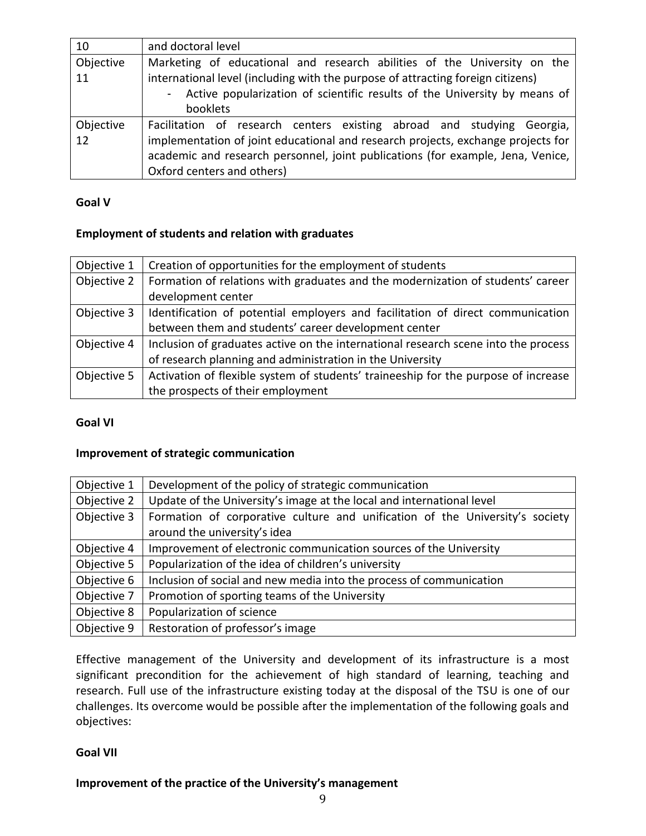| 10        | and doctoral level                                                               |
|-----------|----------------------------------------------------------------------------------|
| Objective | Marketing of educational and research abilities of the University on the         |
| 11        | international level (including with the purpose of attracting foreign citizens)  |
|           | - Active popularization of scientific results of the University by means of      |
|           | booklets                                                                         |
| Objective | Facilitation of research centers existing abroad and studying Georgia,           |
| 12        | implementation of joint educational and research projects, exchange projects for |
|           | academic and research personnel, joint publications (for example, Jena, Venice,  |
|           | Oxford centers and others)                                                       |

#### **Goal V**

#### **Employment of students and relation with graduates**

| Objective 1 | Creation of opportunities for the employment of students                           |
|-------------|------------------------------------------------------------------------------------|
| Objective 2 | Formation of relations with graduates and the modernization of students' career    |
|             | development center                                                                 |
| Objective 3 | Identification of potential employers and facilitation of direct communication     |
|             | between them and students' career development center                               |
| Objective 4 | Inclusion of graduates active on the international research scene into the process |
|             | of research planning and administration in the University                          |
| Objective 5 | Activation of flexible system of students' traineeship for the purpose of increase |
|             | the prospects of their employment                                                  |

#### **Goal VI**

#### **Improvement of strategic communication**

| Objective 1 | Development of the policy of strategic communication                         |
|-------------|------------------------------------------------------------------------------|
| Objective 2 | Update of the University's image at the local and international level        |
| Objective 3 | Formation of corporative culture and unification of the University's society |
|             | around the university's idea                                                 |
| Objective 4 | Improvement of electronic communication sources of the University            |
| Objective 5 | Popularization of the idea of children's university                          |
| Objective 6 | Inclusion of social and new media into the process of communication          |
| Objective 7 | Promotion of sporting teams of the University                                |
| Objective 8 | Popularization of science                                                    |
| Objective 9 | Restoration of professor's image                                             |

Effective management of the University and development of its infrastructure is a most significant precondition for the achievement of high standard of learning, teaching and research. Full use of the infrastructure existing today at the disposal of the TSU is one of our challenges. Its overcome would be possible after the implementation of the following goals and objectives:

## **Goal VII**

## **Improvement of the practice of the University's management**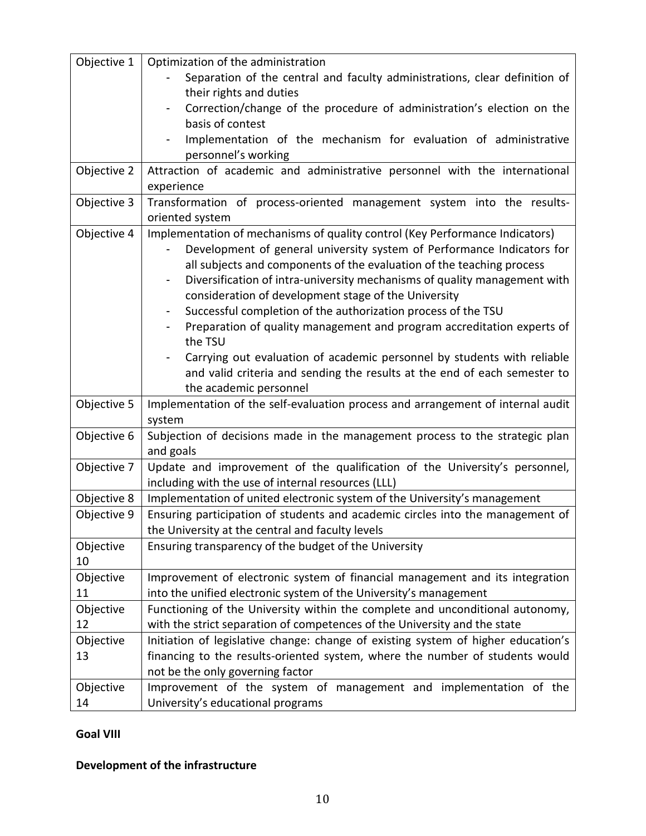| Objective 1 | Optimization of the administration                                                                    |
|-------------|-------------------------------------------------------------------------------------------------------|
|             | Separation of the central and faculty administrations, clear definition of                            |
|             | their rights and duties                                                                               |
|             | Correction/change of the procedure of administration's election on the                                |
|             | basis of contest                                                                                      |
|             | Implementation of the mechanism for evaluation of administrative                                      |
|             | personnel's working                                                                                   |
|             |                                                                                                       |
| Objective 2 | Attraction of academic and administrative personnel with the international<br>experience              |
|             | Transformation of process-oriented management system into the results-                                |
| Objective 3 |                                                                                                       |
|             | oriented system                                                                                       |
| Objective 4 | Implementation of mechanisms of quality control (Key Performance Indicators)                          |
|             | Development of general university system of Performance Indicators for                                |
|             | all subjects and components of the evaluation of the teaching process                                 |
|             | Diversification of intra-university mechanisms of quality management with<br>$\overline{\phantom{0}}$ |
|             | consideration of development stage of the University                                                  |
|             | Successful completion of the authorization process of the TSU                                         |
|             | Preparation of quality management and program accreditation experts of                                |
|             | the TSU                                                                                               |
|             | Carrying out evaluation of academic personnel by students with reliable                               |
|             | and valid criteria and sending the results at the end of each semester to                             |
|             | the academic personnel                                                                                |
| Objective 5 | Implementation of the self-evaluation process and arrangement of internal audit                       |
|             | system                                                                                                |
| Objective 6 | Subjection of decisions made in the management process to the strategic plan                          |
|             | and goals                                                                                             |
| Objective 7 | Update and improvement of the qualification of the University's personnel,                            |
|             | including with the use of internal resources (LLL)                                                    |
| Objective 8 | Implementation of united electronic system of the University's management                             |
| Objective 9 | Ensuring participation of students and academic circles into the management of                        |
|             | the University at the central and faculty levels                                                      |
| Objective   | Ensuring transparency of the budget of the University                                                 |
| 10          |                                                                                                       |
| Objective   | Improvement of electronic system of financial management and its integration                          |
| 11          | into the unified electronic system of the University's management                                     |
| Objective   | Functioning of the University within the complete and unconditional autonomy,                         |
| 12          | with the strict separation of competences of the University and the state                             |
| Objective   | Initiation of legislative change: change of existing system of higher education's                     |
| 13          | financing to the results-oriented system, where the number of students would                          |
|             | not be the only governing factor                                                                      |
| Objective   | Improvement of the system of management and implementation of the                                     |
| 14          | University's educational programs                                                                     |

## **Goal VIII**

## **Development of the infrastructure**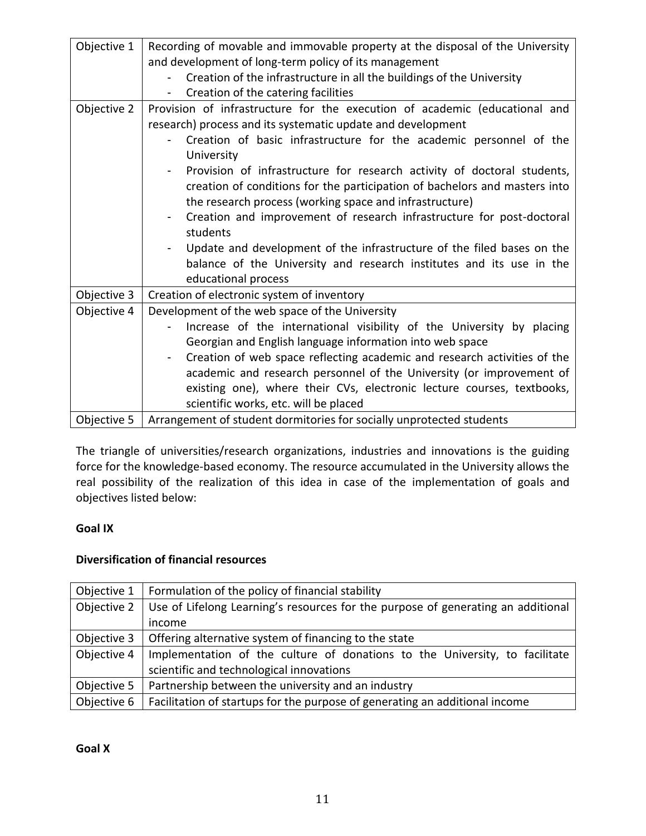| Objective 1 | Recording of movable and immovable property at the disposal of the University<br>and development of long-term policy of its management<br>Creation of the infrastructure in all the buildings of the University<br>Creation of the catering facilities                                                                                                                                                                                                                                                                                                                                                                                                                                                          |
|-------------|-----------------------------------------------------------------------------------------------------------------------------------------------------------------------------------------------------------------------------------------------------------------------------------------------------------------------------------------------------------------------------------------------------------------------------------------------------------------------------------------------------------------------------------------------------------------------------------------------------------------------------------------------------------------------------------------------------------------|
| Objective 2 | Provision of infrastructure for the execution of academic (educational and<br>research) process and its systematic update and development<br>Creation of basic infrastructure for the academic personnel of the<br>University<br>Provision of infrastructure for research activity of doctoral students,<br>creation of conditions for the participation of bachelors and masters into<br>the research process (working space and infrastructure)<br>Creation and improvement of research infrastructure for post-doctoral<br>students<br>Update and development of the infrastructure of the filed bases on the<br>balance of the University and research institutes and its use in the<br>educational process |
| Objective 3 | Creation of electronic system of inventory                                                                                                                                                                                                                                                                                                                                                                                                                                                                                                                                                                                                                                                                      |
| Objective 4 | Development of the web space of the University<br>Increase of the international visibility of the University by placing<br>Georgian and English language information into web space<br>Creation of web space reflecting academic and research activities of the<br>academic and research personnel of the University (or improvement of<br>existing one), where their CVs, electronic lecture courses, textbooks,<br>scientific works, etc. will be placed                                                                                                                                                                                                                                                      |
| Objective 5 | Arrangement of student dormitories for socially unprotected students                                                                                                                                                                                                                                                                                                                                                                                                                                                                                                                                                                                                                                            |

The triangle of universities/research organizations, industries and innovations is the guiding force for the knowledge-based economy. The resource accumulated in the University allows the real possibility of the realization of this idea in case of the implementation of goals and objectives listed below:

## **Goal IX**

## **Diversification of financial resources**

| Objective 1 | Formulation of the policy of financial stability                                 |
|-------------|----------------------------------------------------------------------------------|
| Objective 2 | Use of Lifelong Learning's resources for the purpose of generating an additional |
|             | income                                                                           |
| Objective 3 | Offering alternative system of financing to the state                            |
| Objective 4 | Implementation of the culture of donations to the University, to facilitate      |
|             | scientific and technological innovations                                         |
| Objective 5 | Partnership between the university and an industry                               |
| Objective 6 | Facilitation of startups for the purpose of generating an additional income      |

**Goal X**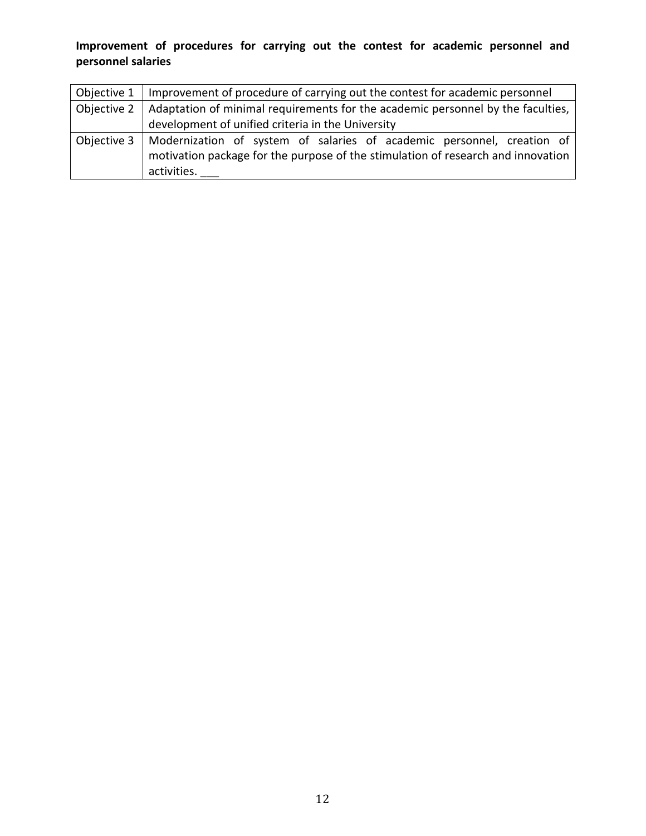# **Improvement of procedures for carrying out the contest for academic personnel and personnel salaries**

| Objective 1 | Improvement of procedure of carrying out the contest for academic personnel                                                                                               |
|-------------|---------------------------------------------------------------------------------------------------------------------------------------------------------------------------|
| Objective 2 | Adaptation of minimal requirements for the academic personnel by the faculties,                                                                                           |
|             | development of unified criteria in the University                                                                                                                         |
| Objective 3 | Modernization of system of salaries of academic personnel, creation of<br>motivation package for the purpose of the stimulation of research and innovation<br>activities. |